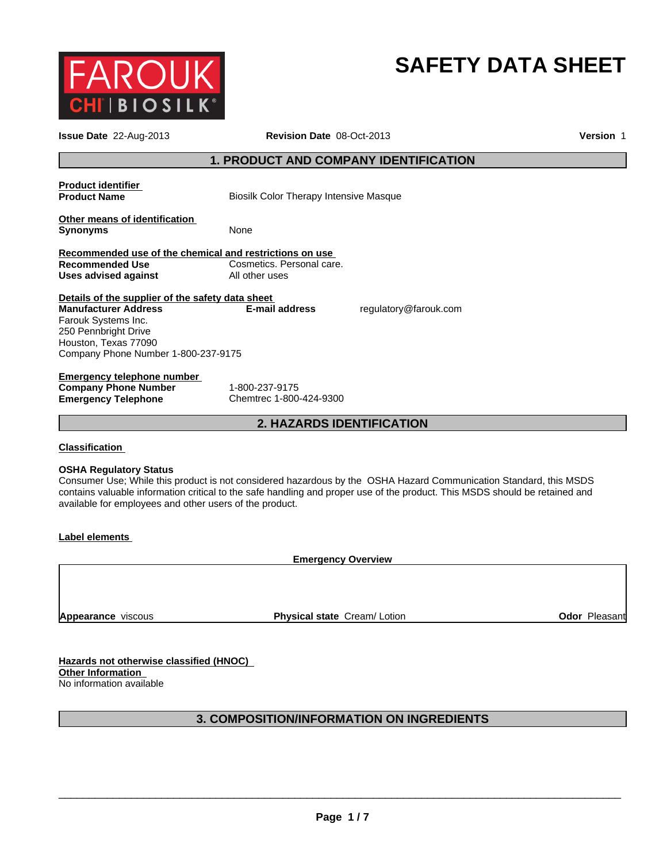

# **SAFETY DATA SHEET**

| Issue Date 22-Aug-2013                                                                                                                                                                        | <b>Revision Date 08-Oct-2013</b><br><b>Version 1</b>                                                                                                                                                                                             |  |  |
|-----------------------------------------------------------------------------------------------------------------------------------------------------------------------------------------------|--------------------------------------------------------------------------------------------------------------------------------------------------------------------------------------------------------------------------------------------------|--|--|
|                                                                                                                                                                                               | <b>1. PRODUCT AND COMPANY IDENTIFICATION</b>                                                                                                                                                                                                     |  |  |
| <b>Product identifier</b><br><b>Product Name</b>                                                                                                                                              | <b>Biosilk Color Therapy Intensive Masque</b>                                                                                                                                                                                                    |  |  |
| Other means of identification<br><b>Synonyms</b>                                                                                                                                              | None                                                                                                                                                                                                                                             |  |  |
| Recommended use of the chemical and restrictions on use<br>Recommended Use<br><b>Uses advised against</b>                                                                                     | Cosmetics. Personal care.<br>All other uses                                                                                                                                                                                                      |  |  |
| Details of the supplier of the safety data sheet<br><b>Manufacturer Address</b><br>Farouk Systems Inc.<br>250 Pennbright Drive<br>Houston, Texas 77090<br>Company Phone Number 1-800-237-9175 | <b>E-mail address</b><br>regulatory@farouk.com                                                                                                                                                                                                   |  |  |
| <b>Emergency telephone number</b><br><b>Company Phone Number</b><br><b>Emergency Telephone</b>                                                                                                | 1-800-237-9175<br>Chemtrec 1-800-424-9300                                                                                                                                                                                                        |  |  |
|                                                                                                                                                                                               | <b>2. HAZARDS IDENTIFICATION</b>                                                                                                                                                                                                                 |  |  |
| <b>Classification</b>                                                                                                                                                                         |                                                                                                                                                                                                                                                  |  |  |
| <b>OSHA Regulatory Status</b><br>available for employees and other users of the product.                                                                                                      | Consumer Use; While this product is not considered hazardous by the OSHA Hazard Communication Standard, this MSDS<br>contains valuable information critical to the safe handling and proper use of the product. This MSDS should be retained and |  |  |
| <b>Label elements</b>                                                                                                                                                                         |                                                                                                                                                                                                                                                  |  |  |
|                                                                                                                                                                                               | <b>Emergency Overview</b>                                                                                                                                                                                                                        |  |  |
|                                                                                                                                                                                               |                                                                                                                                                                                                                                                  |  |  |
|                                                                                                                                                                                               |                                                                                                                                                                                                                                                  |  |  |

**Hazards not otherwise classified (HNOC) Other Information**  No information available

# **3. COMPOSITION/INFORMATION ON INGREDIENTS**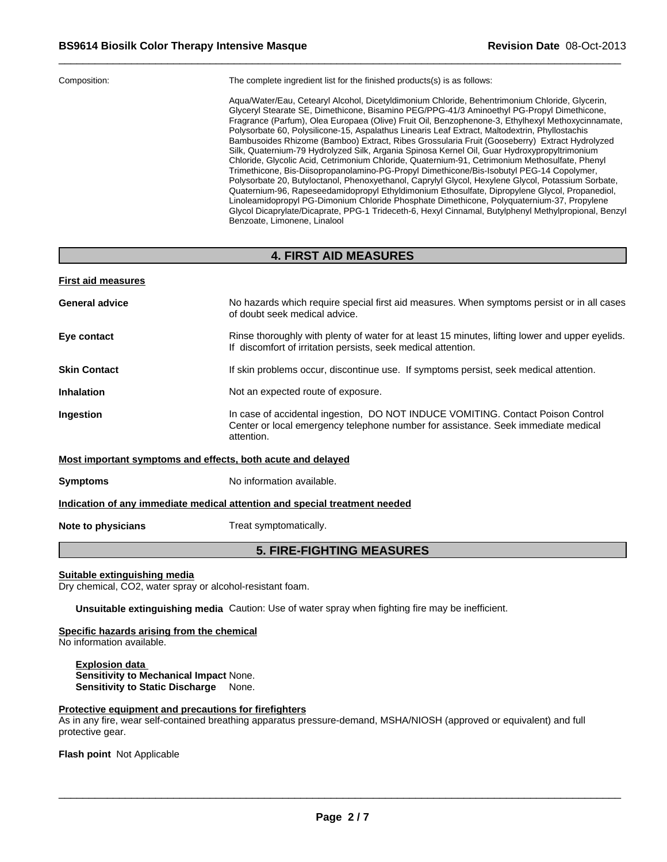| Aqua/Water/Eau, Cetearyl Alcohol, Dicetyldimonium Chloride, Behentrimonium Chloride, Glycerin,<br>Glyceryl Stearate SE, Dimethicone, Bisamino PEG/PPG-41/3 Aminoethyl PG-Propyl Dimethicone,<br>Fragrance (Parfum), Olea Europaea (Olive) Fruit Oil, Benzophenone-3, Ethylhexyl Methoxycinnamate,<br>Polysorbate 60, Polysilicone-15, Aspalathus Linearis Leaf Extract, Maltodextrin, Phyllostachis<br>Bambusoides Rhizome (Bamboo) Extract, Ribes Grossularia Fruit (Gooseberry) Extract Hydrolyzed<br>Silk, Quaternium-79 Hydrolyzed Silk, Argania Spinosa Kernel Oil, Guar Hydroxypropyltrimonium<br>Chloride, Glycolic Acid, Cetrimonium Chloride, Quaternium-91, Cetrimonium Methosulfate, Phenyl<br>Trimethicone, Bis-Diisopropanolamino-PG-Propyl Dimethicone/Bis-Isobutyl PEG-14 Copolymer,<br>Polysorbate 20, Butyloctanol, Phenoxyethanol, Caprylyl Glycol, Hexylene Glycol, Potassium Sorbate,<br>Quaternium-96, Rapeseedamidopropyl Ethyldimonium Ethosulfate, Dipropylene Glycol, Propanediol,<br>Linoleamidopropyl PG-Dimonium Chloride Phosphate Dimethicone, Polyquaternium-37, Propylene<br>Glycol Dicaprylate/Dicaprate, PPG-1 Trideceth-6, Hexyl Cinnamal, Butylphenyl Methylpropional, Benzyl<br>Benzoate, Limonene, Linalool |
|---------------------------------------------------------------------------------------------------------------------------------------------------------------------------------------------------------------------------------------------------------------------------------------------------------------------------------------------------------------------------------------------------------------------------------------------------------------------------------------------------------------------------------------------------------------------------------------------------------------------------------------------------------------------------------------------------------------------------------------------------------------------------------------------------------------------------------------------------------------------------------------------------------------------------------------------------------------------------------------------------------------------------------------------------------------------------------------------------------------------------------------------------------------------------------------------------------------------------------------------------|
|                                                                                                                                                                                                                                                                                                                                                                                                                                                                                                                                                                                                                                                                                                                                                                                                                                                                                                                                                                                                                                                                                                                                                                                                                                                   |

# **4. FIRST AID MEASURES**

| <b>First aid measures</b> |  |
|---------------------------|--|
|---------------------------|--|

| <b>General advice</b>                                                      | No hazards which require special first aid measures. When symptoms persist or in all cases<br>of doubt seek medical advice.                                                        |  |
|----------------------------------------------------------------------------|------------------------------------------------------------------------------------------------------------------------------------------------------------------------------------|--|
| Eye contact                                                                | Rinse thoroughly with plenty of water for at least 15 minutes, lifting lower and upper eyelids.<br>If discomfort of irritation persists, seek medical attention.                   |  |
| <b>Skin Contact</b>                                                        | If skin problems occur, discontinue use. If symptoms persist, seek medical attention.                                                                                              |  |
| <b>Inhalation</b>                                                          | Not an expected route of exposure.                                                                                                                                                 |  |
| Ingestion                                                                  | In case of accidental ingestion, DO NOT INDUCE VOMITING. Contact Poison Control<br>Center or local emergency telephone number for assistance. Seek immediate medical<br>attention. |  |
| Most important symptoms and effects, both acute and delayed                |                                                                                                                                                                                    |  |
| <b>Symptoms</b>                                                            | No information available.                                                                                                                                                          |  |
| Indication of any immediate medical attention and special treatment needed |                                                                                                                                                                                    |  |

**Note to physicians** Treat symptomatically.

# **5. FIRE-FIGHTING MEASURES**

#### **Suitable extinguishing media**

Dry chemical, CO2, water spray or alcohol-resistant foam.

**Unsuitable extinguishing media** Caution: Use of water spray when fighting fire may be inefficient.

#### **Specific hazards arising from the chemical**

No information available.

**Explosion data Sensitivity to Mechanical Impact** None. **Sensitivity to Static Discharge** None.

#### **Protective equipment and precautions for firefighters**

As in any fire, wear self-contained breathing apparatus pressure-demand, MSHA/NIOSH (approved or equivalent) and full protective gear.

**Flash point** Not Applicable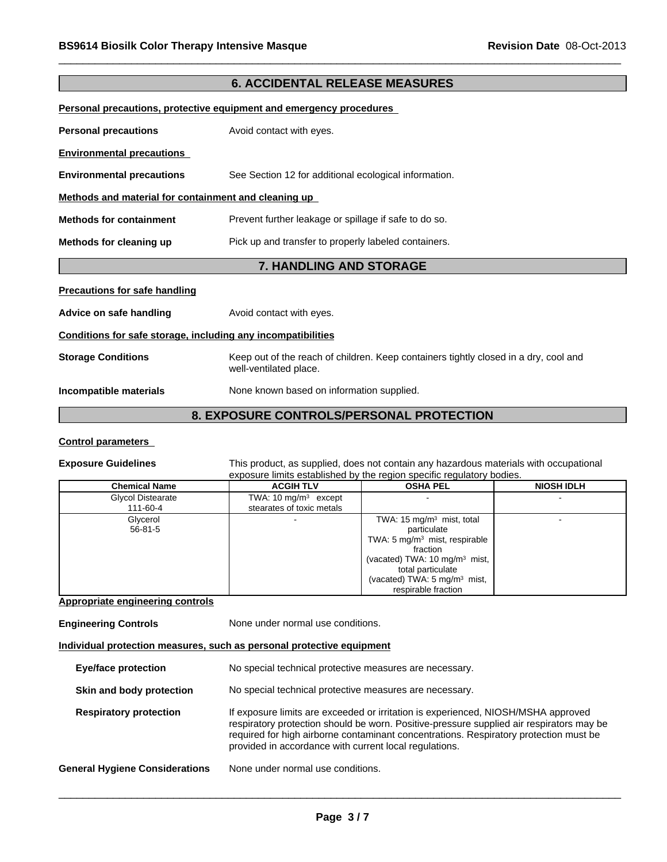| <b>6. ACCIDENTAL RELEASE MEASURES</b>                        |                                                                                                                |  |  |
|--------------------------------------------------------------|----------------------------------------------------------------------------------------------------------------|--|--|
|                                                              | Personal precautions, protective equipment and emergency procedures                                            |  |  |
| <b>Personal precautions</b>                                  | Avoid contact with eyes.                                                                                       |  |  |
| <b>Environmental precautions</b>                             |                                                                                                                |  |  |
| <b>Environmental precautions</b>                             | See Section 12 for additional ecological information.                                                          |  |  |
| Methods and material for containment and cleaning up         |                                                                                                                |  |  |
| <b>Methods for containment</b>                               | Prevent further leakage or spillage if safe to do so.                                                          |  |  |
| Methods for cleaning up                                      | Pick up and transfer to properly labeled containers.                                                           |  |  |
|                                                              | 7. HANDLING AND STORAGE                                                                                        |  |  |
| <b>Precautions for safe handling</b>                         |                                                                                                                |  |  |
| Advice on safe handling                                      | Avoid contact with eyes.                                                                                       |  |  |
| Conditions for safe storage, including any incompatibilities |                                                                                                                |  |  |
| <b>Storage Conditions</b>                                    | Keep out of the reach of children. Keep containers tightly closed in a dry, cool and<br>well-ventilated place. |  |  |
| Incompatible materials                                       | None known based on information supplied.                                                                      |  |  |
|                                                              | 8. EXPOSURE CONTROLS/PERSONAL PROTECTION                                                                       |  |  |

#### **Control parameters**

**Exposure Guidelines** This product, as supplied, does not contain any hazardous materials with occupational exposure limits established by the region specific regulatory bodies.

| <b>Chemical Name</b>      | <b>ACGIH TLV</b>                | <b>OSHA PEL</b>                                                                          | <b>NIOSH IDLH</b> |
|---------------------------|---------------------------------|------------------------------------------------------------------------------------------|-------------------|
| Glycol Distearate         | TWA: $10 \text{ mg/m}^3$ except |                                                                                          |                   |
| 111-60-4                  | stearates of toxic metals       |                                                                                          |                   |
| Glycerol<br>$56 - 81 - 5$ |                                 | TWA: 15 $mg/m3$ mist, total<br>particulate                                               |                   |
|                           |                                 | TWA: 5 $mg/m3$ mist, respirable<br>fraction<br>(vacated) TWA: 10 mg/m <sup>3</sup> mist, |                   |
|                           |                                 | total particulate<br>(vacated) TWA: $5 \text{ mg/m}^3$ mist,                             |                   |
|                           |                                 | respirable fraction                                                                      |                   |

# **Appropriate engineering controls**

| <b>Engineering Controls</b>           | None under normal use conditions.                                                                                                                                                                                                                                                                                                |  |  |
|---------------------------------------|----------------------------------------------------------------------------------------------------------------------------------------------------------------------------------------------------------------------------------------------------------------------------------------------------------------------------------|--|--|
|                                       | Individual protection measures, such as personal protective equipment                                                                                                                                                                                                                                                            |  |  |
| Eye/face protection                   | No special technical protective measures are necessary.                                                                                                                                                                                                                                                                          |  |  |
| Skin and body protection              | No special technical protective measures are necessary.                                                                                                                                                                                                                                                                          |  |  |
| <b>Respiratory protection</b>         | If exposure limits are exceeded or irritation is experienced, NIOSH/MSHA approved<br>respiratory protection should be worn. Positive-pressure supplied air respirators may be<br>required for high airborne contaminant concentrations. Respiratory protection must be<br>provided in accordance with current local regulations. |  |  |
| <b>General Hygiene Considerations</b> | None under normal use conditions.                                                                                                                                                                                                                                                                                                |  |  |
|                                       |                                                                                                                                                                                                                                                                                                                                  |  |  |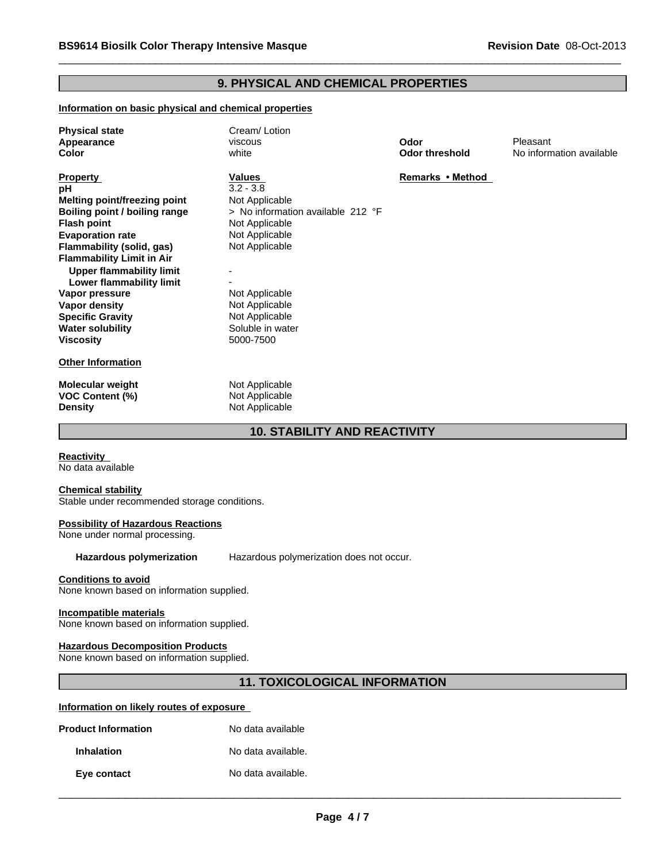# **9. PHYSICAL AND CHEMICAL PROPERTIES**

#### **Information on basic physical and chemical properties**

| <b>Physical state</b><br>Appearance<br>Color                                                                                                                                                                                                                                                                                                                                         | Cream/Lotion<br>viscous<br>white                                                                                                                                                                                          | Odor<br><b>Odor threshold</b> | Pleasant<br>No information available |
|--------------------------------------------------------------------------------------------------------------------------------------------------------------------------------------------------------------------------------------------------------------------------------------------------------------------------------------------------------------------------------------|---------------------------------------------------------------------------------------------------------------------------------------------------------------------------------------------------------------------------|-------------------------------|--------------------------------------|
| <b>Property</b><br>рH<br>Melting point/freezing point<br>Boiling point / boiling range<br><b>Flash point</b><br><b>Evaporation rate</b><br>Flammability (solid, gas)<br><b>Flammability Limit in Air</b><br><b>Upper flammability limit</b><br>Lower flammability limit<br>Vapor pressure<br>Vapor density<br><b>Specific Gravity</b><br><b>Water solubility</b><br><b>Viscosity</b> | Values<br>$3.2 - 3.8$<br>Not Applicable<br>> No information available 212 °F<br>Not Applicable<br>Not Applicable<br>Not Applicable<br>Not Applicable<br>Not Applicable<br>Not Applicable<br>Soluble in water<br>5000-7500 | Remarks • Method              |                                      |
| <b>Other Information</b>                                                                                                                                                                                                                                                                                                                                                             |                                                                                                                                                                                                                           |                               |                                      |
| Molecular weight<br><b>VOC Content (%)</b><br><b>Density</b>                                                                                                                                                                                                                                                                                                                         | Not Applicable<br>Not Applicable<br>Not Applicable                                                                                                                                                                        |                               |                                      |

# **10. STABILITY AND REACTIVITY**

**Reactivity**  No data available

#### **Chemical stability**

Stable under recommended storage conditions.

#### **Possibility of Hazardous Reactions**

None under normal processing.

**Hazardous polymerization** Hazardous polymerization does not occur.

#### **Conditions to avoid**

None known based on information supplied.

#### **Incompatible materials**

None known based on information supplied.

#### **Hazardous Decomposition Products**

None known based on information supplied.

# **11. TOXICOLOGICAL INFORMATION**

#### **Information on likely routes of exposure**

| <b>Product Information</b> | No data available  |
|----------------------------|--------------------|
| <b>Inhalation</b>          | No data available. |
| Eye contact                | No data available. |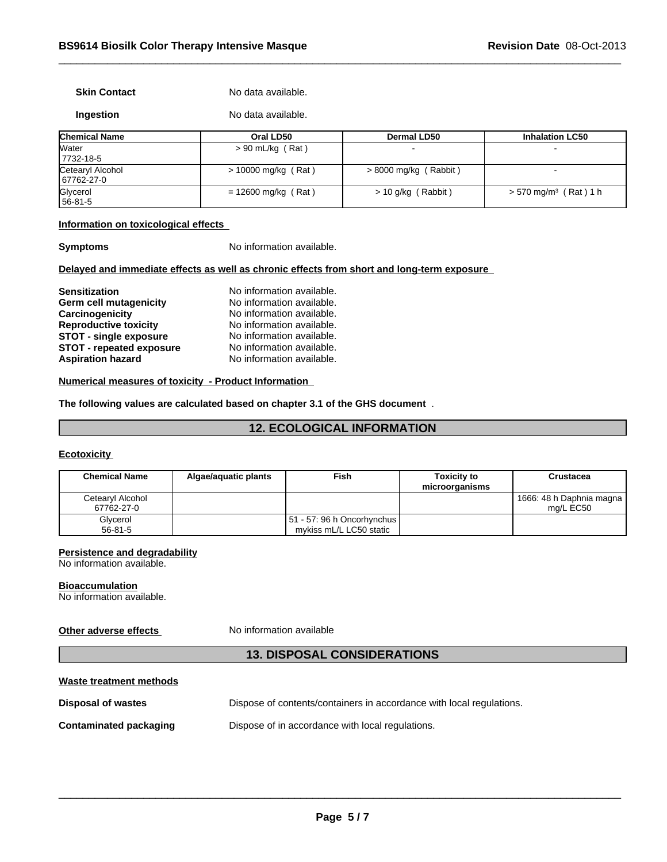#### **Skin Contact** No data available.

|           | No data available. |
|-----------|--------------------|
| Ingestion |                    |

| <b>Chemical Name</b>           | Oral LD50             | <b>Dermal LD50</b>      | <b>Inhalation LC50</b>              |
|--------------------------------|-----------------------|-------------------------|-------------------------------------|
| Water<br>7732-18-5             | $> 90$ mL/kg (Rat)    |                         |                                     |
| Cetearyl Alcohol<br>67762-27-0 | $> 10000$ mg/kg (Rat) | $> 8000$ mg/kg (Rabbit) |                                     |
| Glycerol<br>56-81-5            | $= 12600$ mg/kg (Rat) | > 10 g/kg (Rabbit)      | $> 570$ mg/m <sup>3</sup> (Rat) 1 h |

#### **Information on toxicological effects**

**Symptoms** No information available.

#### **Delayed and immediate effects as well as chronic effects from short and long-term exposure**

| <b>Sensitization</b>            | No information available. |
|---------------------------------|---------------------------|
| Germ cell mutagenicity          | No information available. |
| Carcinogenicity                 | No information available. |
| <b>Reproductive toxicity</b>    | No information available. |
| <b>STOT - single exposure</b>   | No information available. |
| <b>STOT - repeated exposure</b> | No information available. |
| <b>Aspiration hazard</b>        | No information available. |

#### **Numerical measures of toxicity - Product Information**

#### **The following values are calculated based on chapter 3.1 of the GHS document** .

# **12. ECOLOGICAL INFORMATION**

### **Ecotoxicity**

| <b>Chemical Name</b>           | Algae/aguatic plants | Fish                                                  | <b>Toxicity to</b><br>microorganisms | Crustacea                               |
|--------------------------------|----------------------|-------------------------------------------------------|--------------------------------------|-----------------------------------------|
| Cetearyl Alcohol<br>67762-27-0 |                      |                                                       |                                      | 1666: 48 h Daphnia magna  <br>ma/L EC50 |
| Glycerol<br>$56 - 81 - 5$      |                      | 51 - 57: 96 h Oncorhynchus<br>mykiss mL/L LC50 static |                                      |                                         |

#### **Persistence and degradability**

No information available.

#### **Bioaccumulation**

No information available.

### **Other adverse effects** No information available

# **13. DISPOSAL CONSIDERATIONS**

| Waste treatment methods       |                                                                      |
|-------------------------------|----------------------------------------------------------------------|
| Disposal of wastes            | Dispose of contents/containers in accordance with local regulations. |
| <b>Contaminated packaging</b> | Dispose of in accordance with local regulations.                     |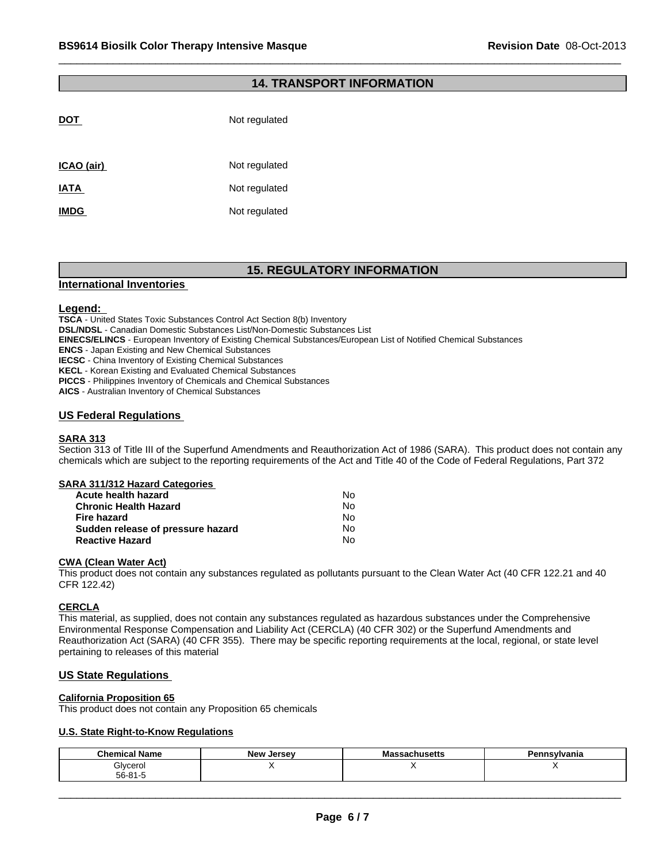# **14. TRANSPORT INFORMATION**

| <b>DOT</b>  | Not regulated |
|-------------|---------------|
| ICAO (air)  | Not regulated |
| <b>IATA</b> | Not regulated |
| <b>IMDG</b> | Not regulated |
|             |               |

# **15. REGULATORY INFORMATION**

#### **International Inventories**

#### **Legend:**

**TSCA** - United States Toxic Substances Control Act Section 8(b) Inventory

**DSL/NDSL** - Canadian Domestic Substances List/Non-Domestic Substances List

**EINECS/ELINCS** - European Inventory of Existing Chemical Substances/European List of Notified Chemical Substances

**ENCS** - Japan Existing and New Chemical Substances

**IECSC** - China Inventory of Existing Chemical Substances

**KECL** - Korean Existing and Evaluated Chemical Substances

**PICCS** - Philippines Inventory of Chemicals and Chemical Substances

**AICS** - Australian Inventory of Chemical Substances

### **US Federal Regulations**

#### **SARA 313**

Section 313 of Title III of the Superfund Amendments and Reauthorization Act of 1986 (SARA). This product does not contain any chemicals which are subject to the reporting requirements of the Act and Title 40 of the Code of Federal Regulations, Part 372

#### **SARA 311/312 Hazard Categories**

| Acute health hazard               | No. |
|-----------------------------------|-----|
| <b>Chronic Health Hazard</b>      | No  |
| Fire hazard                       | N٥  |
| Sudden release of pressure hazard | No. |
| <b>Reactive Hazard</b>            | No  |

#### **CWA (Clean Water Act)**

This product does not contain any substances regulated as pollutants pursuant to the Clean Water Act (40 CFR 122.21 and 40 CFR 122.42)

#### **CERCLA**

This material, as supplied, does not contain any substances regulated as hazardous substances under the Comprehensive Environmental Response Compensation and Liability Act (CERCLA) (40 CFR 302) or the Superfund Amendments and Reauthorization Act (SARA) (40 CFR 355). There may be specific reporting requirements at the local, regional, or state level pertaining to releases of this material

#### **US State Regulations**

#### **California Proposition 65**

This product does not contain any Proposition 65 chemicals

#### **U.S. State Right-to-Know Regulations**

| Glycerol<br>56-81-5 |
|---------------------|
|                     |